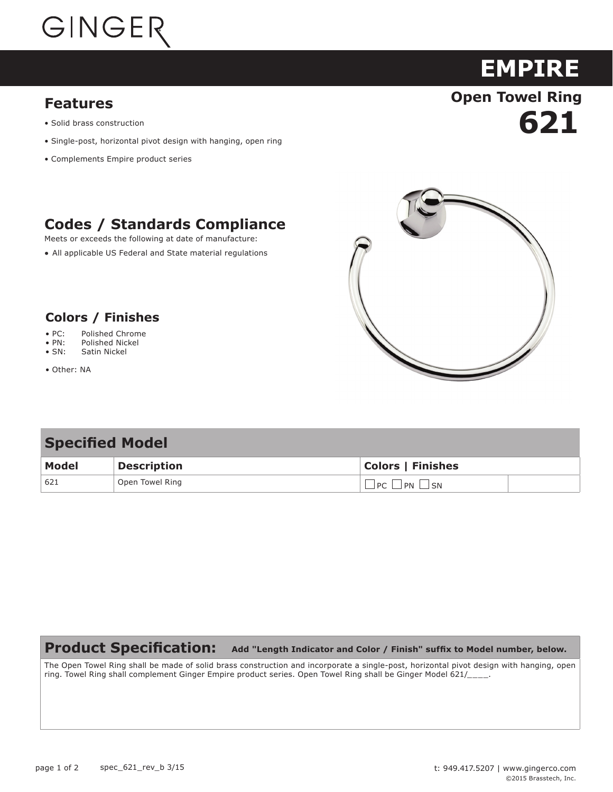# GINGER

#### **Features**

- Solid brass construction
- Single-post, horizontal pivot design with hanging, open ring
- Complements Empire product series

### **Codes / Standards Compliance**

Meets or exceeds the following at date of manufacture:

All applicable US Federal and State material regulations



**621**

**EMPIRE**

**Open Towel Ring**

#### **Colors / Finishes**

- **Colors / Finishes** PC: Polished Chrome
- $\bullet$  PN: Polished Nickel • PN: Polished Nickel
- $\bullet$  SN: Satin Nickel • SN: Satin Nickel
- Other: NA

#### **Specified Model**

| Model | <b>Description</b> | <b>Colors   Finishes</b>                |
|-------|--------------------|-----------------------------------------|
| 621   | Open Towel Ring    | PC<br><b>PN</b><br>$\sim$ $\sim$ $\sim$ |

#### **Product Specification: Add "Length Indicator and Color / Finish" suffix to Model number, below.**

The Open Towel Ring shall be made of solid brass construction and incorporate a single-post, horizontal pivot design with hanging, open ring. Towel Ring shall complement Ginger Empire product series. Open Towel Ring shall be Ginger Model 621/\_\_\_\_.